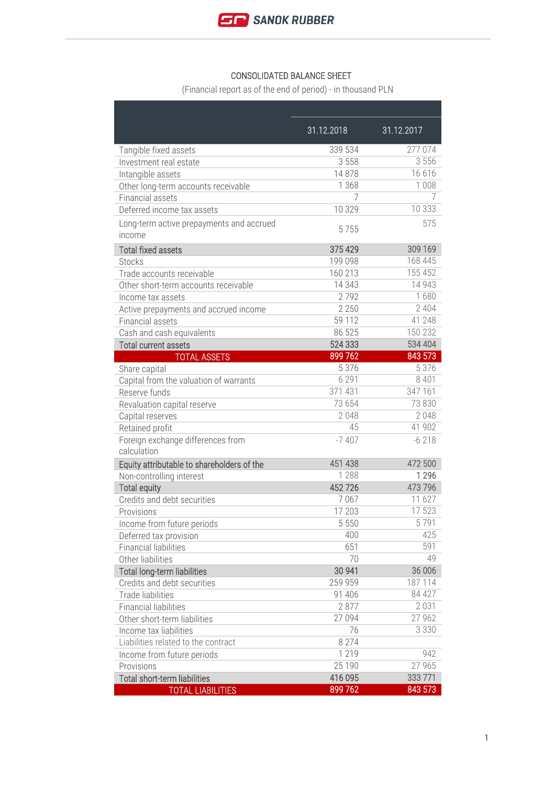

## CONSOLIDATED BALANCE SHEET

(Financial report as of the end of period) - in thousand PLN

|                                                    | 31.12.2018 | 31.12.2017 |
|----------------------------------------------------|------------|------------|
| Tangible fixed assets                              | 339 534    | 277 074    |
| Investment real estate                             | 3 5 5 8    | 3 5 5 6    |
| Intangible assets                                  | 14878      | 16 616     |
| Other long-term accounts receivable                | 1 3 6 8    | 1 0 0 8    |
| Financial assets                                   | 7          | 7          |
| Deferred income tax assets                         | 10 329     | 10 333     |
| Long-term active prepayments and accrued<br>income | 5755       | 575        |
| <b>Total fixed assets</b>                          | 375 429    | 309 169    |
| <b>Stocks</b>                                      | 199 098    | 168 445    |
| Trade accounts receivable                          | 160 213    | 155 452    |
| Other short-term accounts receivable               | 14 3 4 3   | 14 9 43    |
| Income tax assets                                  | 2792       | 1680       |
| Active prepayments and accrued income              | 2 2 5 0    | 2 4 0 4    |
| Financial assets                                   | 59 112     | 41 248     |
| Cash and cash equivalents                          | 86 525     | 150 232    |
| <b>Total current assets</b>                        | 524 333    | 534 404    |
| <b>TOTAL ASSETS</b>                                | 899 762    | 843 573    |
| Share capital                                      | 5 3 7 6    | 5 3 7 6    |
| Capital from the valuation of warrants             | 6 2 9 1    | 8 4 0 1    |
| Reserve funds                                      | 371 431    | 347 161    |
| Revaluation capital reserve                        | 73 654     | 73 830     |
| Capital reserves                                   | 2048       | 2048       |
| Retained profit                                    | 45         | 41 902     |
| Foreign exchange differences from                  | $-7407$    | $-6218$    |
| calculation                                        |            |            |
| Equity attributable to shareholders of the         | 451 438    | 472 500    |
| Non-controlling interest                           | 1 2 8 8    | 1 2 9 6    |
| <b>Total equity</b>                                | 452726     | 473 796    |
| Credits and debt securities                        | 7067       | 11 627     |
| Provisions                                         | 17 203     | 17 523     |
| Income from future periods                         | 5 5 5 0    | 5791       |
| Deferred tax provision                             | 400        | 425        |
| <b>Financial liabilities</b>                       | 651        | 591        |
| Other liabilities                                  | 70         | 49         |
| <b>Total long-term liabilities</b>                 | 30 941     | 36 006     |
| Credits and debt securities                        | 259 959    | 187 114    |
| <b>Trade liabilities</b>                           | 91 40 6    | 84 427     |
| <b>Financial liabilities</b>                       | 2877       | 2 0 3 1    |
| Other short-term liabilities                       | 27 094     | 27 962     |
| Income tax liabilities                             | 76         | 3 3 3 0    |
| Liabilities related to the contract                | 8 2 7 4    |            |
| Income from future periods                         | 1 2 1 9    | 942        |
| Provisions                                         | 25 190     | 27 965     |
| <b>Total short-term liabilities</b>                | 416 095    | 333 771    |
| <b>TOTAL LIABILITIES</b>                           | 899 762    | 843 573    |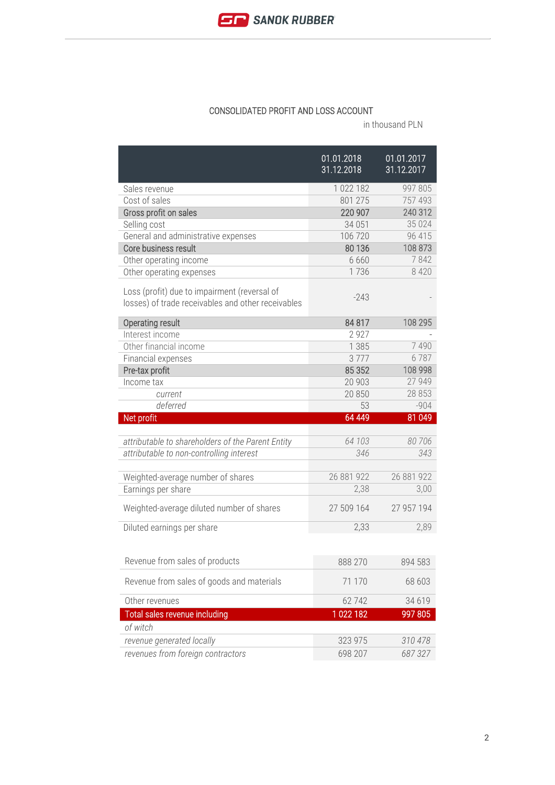

## CONSOLIDATED PROFIT AND LOSS ACCOUNT

in thousand PLN

|                                                                                                    | 01.01.2018<br>31.12,2018 | 01.01.2017<br>31.12.2017 |
|----------------------------------------------------------------------------------------------------|--------------------------|--------------------------|
| Sales revenue                                                                                      | 1 022 182                | 997 805                  |
| Cost of sales                                                                                      | 801 275                  | 757 493                  |
| Gross profit on sales                                                                              | 220 907                  | 240 312                  |
| Selling cost                                                                                       | 34 051                   | 35 0 24                  |
| General and administrative expenses                                                                | 106 720                  | 96 415                   |
| Core business result                                                                               | 80 136                   | 108 873                  |
| Other operating income                                                                             | 6 6 6 0                  | 7842                     |
| Other operating expenses                                                                           | 1736                     | 8 4 2 0                  |
| Loss (profit) due to impairment (reversal of<br>losses) of trade receivables and other receivables | $-243$                   |                          |
| <b>Operating result</b>                                                                            | 84 817                   | 108 295                  |
| Interest income                                                                                    | 2927                     |                          |
| Other financial income                                                                             | 1 3 8 5                  | 7490                     |
| Financial expenses                                                                                 | 3777                     | 6787                     |
| Pre-tax profit                                                                                     | 85 352                   | 108 998                  |
| Income tax                                                                                         | 20 903                   | 27 949                   |
| current                                                                                            | 20 850                   | 28 853                   |
| deferred                                                                                           | 53                       | $-904$                   |
| Net profit                                                                                         | 64 449                   | 81 049                   |
|                                                                                                    |                          |                          |
| attributable to shareholders of the Parent Entity                                                  | 64 103                   | 80706                    |
| attributable to non-controlling interest                                                           | 346                      | 343                      |
|                                                                                                    |                          |                          |
| Weighted-average number of shares                                                                  | 26 881 922               | 26 881 922               |
| Earnings per share                                                                                 | 2,38                     | 3,00                     |
| Weighted-average diluted number of shares                                                          | 27 509 164               | 27 957 194               |
| Diluted earnings per share                                                                         | 2,33                     | 2,89                     |
|                                                                                                    |                          |                          |
| Revenue from sales of products                                                                     | 888 270                  | 894 583                  |
| Revenue from sales of goods and materials                                                          | 71 170                   | 68 603                   |
| Other revenues                                                                                     | 62742                    | 34 619                   |
| Total sales revenue including                                                                      | 1022182                  | 997 805                  |
| of witch                                                                                           |                          |                          |
| revenue generated locally                                                                          | 323 975                  | 310 478                  |
| revenues from foreign contractors                                                                  | 698 207                  | 687327                   |